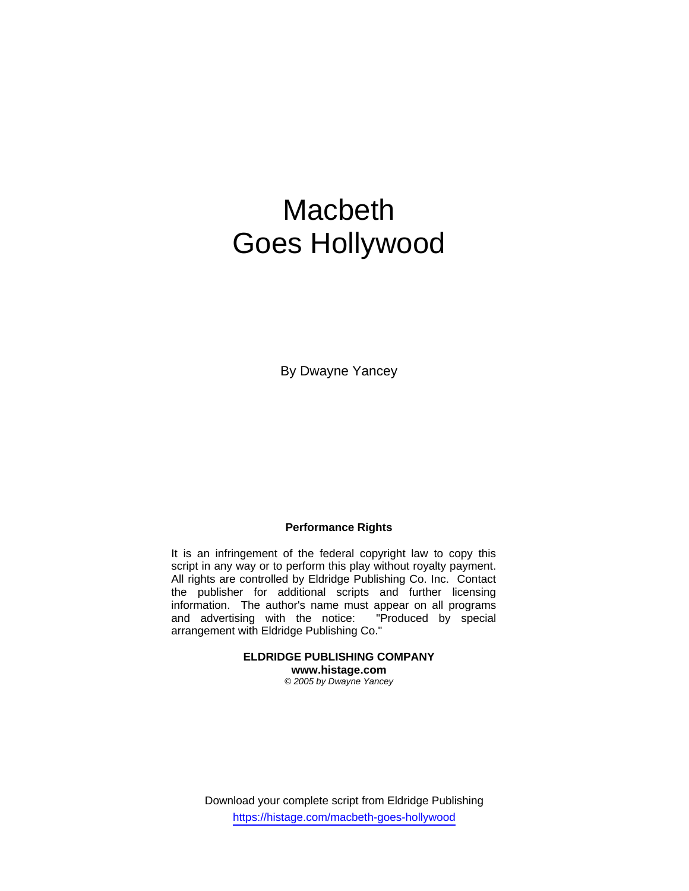# Macbeth Goes Hollywood

By Dwayne Yancey

## **Performance Rights**

It is an infringement of the federal copyright law to copy this script in any way or to perform this play without royalty payment. All rights are controlled by Eldridge Publishing Co. Inc. Contact the publisher for additional scripts and further licensing information. The author's name must appear on all programs and advertising with the notice: "Produced by special arrangement with Eldridge Publishing Co."

> **ELDRIDGE PUBLISHING COMPANY www.histage.com**

*© 2005 by Dwayne Yancey*

Download your complete script from Eldridge Publishing https://histage.com/macbeth-goes-hollywood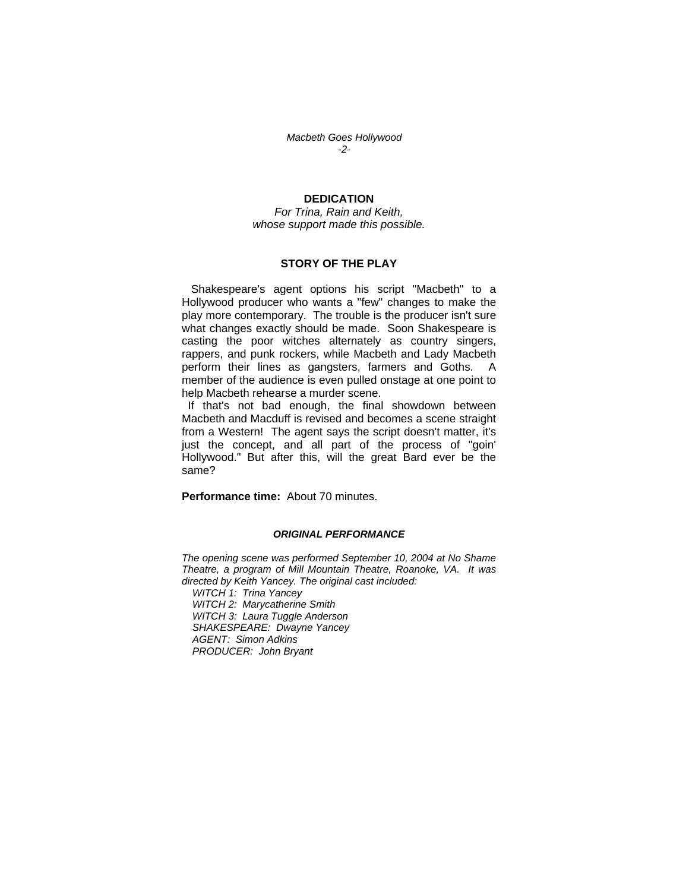*Macbeth Goes Hollywood -2-* 

## **DEDICATION**

*For Trina, Rain and Keith, whose support made this possible.* 

#### **STORY OF THE PLAY**

 Shakespeare's agent options his script "Macbeth" to a Hollywood producer who wants a "few" changes to make the play more contemporary. The trouble is the producer isn't sure what changes exactly should be made. Soon Shakespeare is casting the poor witches alternately as country singers, rappers, and punk rockers, while Macbeth and Lady Macbeth perform their lines as gangsters, farmers and Goths. A member of the audience is even pulled onstage at one point to help Macbeth rehearse a murder scene.

 If that's not bad enough, the final showdown between Macbeth and Macduff is revised and becomes a scene straight from a Western! The agent says the script doesn't matter, it's just the concept, and all part of the process of "goin' Hollywood." But after this, will the great Bard ever be the same?

**Performance time:** About 70 minutes.

#### *ORIGINAL PERFORMANCE*

*The opening scene was performed September 10, 2004 at No Shame Theatre, a program of Mill Mountain Theatre, Roanoke, VA. It was directed by Keith Yancey. The original cast included: WITCH 1: Trina Yancey WITCH 2: Marycatherine Smith WITCH 3: Laura Tuggle Anderson SHAKESPEARE: Dwayne Yancey AGENT: Simon Adkins PRODUCER: John Bryant*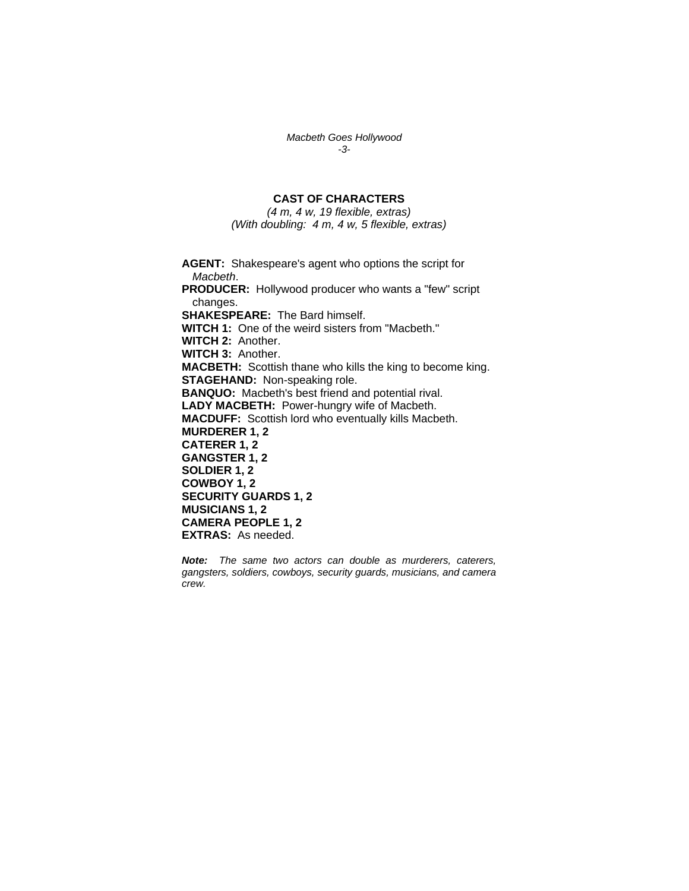*Macbeth Goes Hollywood -3-* 

# **CAST OF CHARACTERS**

*(4 m, 4 w, 19 flexible, extras) (With doubling: 4 m, 4 w, 5 flexible, extras)* 

**AGENT:** Shakespeare's agent who options the script for *Macbeth*. **PRODUCER:** Hollywood producer who wants a "few" script changes. **SHAKESPEARE:** The Bard himself. **WITCH 1:** One of the weird sisters from "Macbeth." **WITCH 2:** Another. **WITCH 3:** Another. **MACBETH:** Scottish thane who kills the king to become king. **STAGEHAND:** Non-speaking role. **BANQUO:** Macbeth's best friend and potential rival. **LADY MACBETH:** Power-hungry wife of Macbeth. **MACDUFF:** Scottish lord who eventually kills Macbeth. **MURDERER 1, 2 CATERER 1, 2 GANGSTER 1, 2 SOLDIER 1, 2 COWBOY 1, 2 SECURITY GUARDS 1, 2 MUSICIANS 1, 2 CAMERA PEOPLE 1, 2 EXTRAS:** As needed.

*Note: The same two actors can double as murderers, caterers, gangsters, soldiers, cowboys, security guards, musicians, and camera crew.*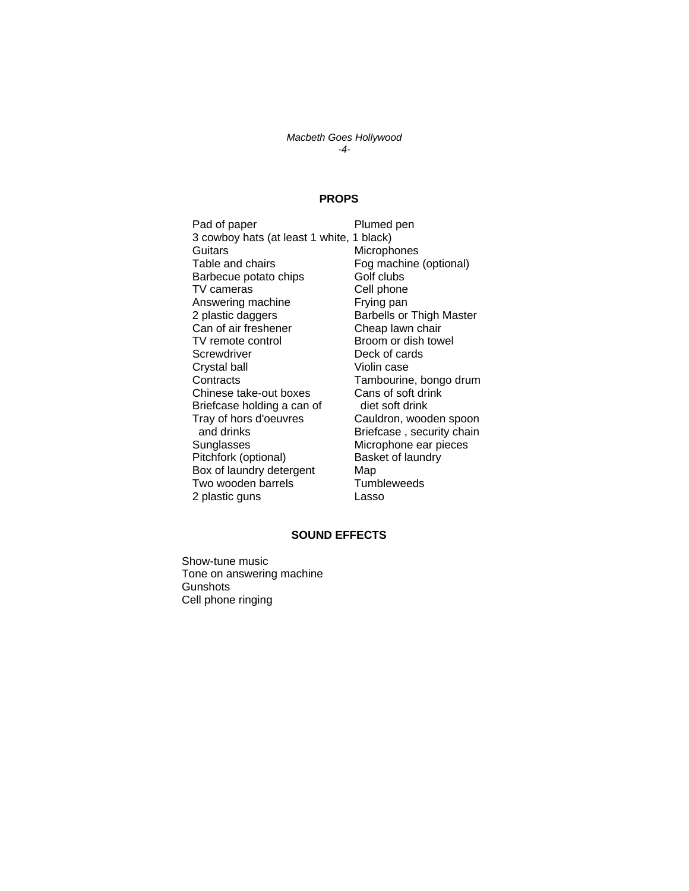#### *Macbeth Goes Hollywood -4-*

## **PROPS**

Pad of paper Plumed pen 3 cowboy hats (at least 1 white, 1 black) Guitars Microphones Table and chairs **Fog machine (optional)** Barbecue potato chips **Golf clubs** TV cameras Cell phone<br>
Answering machine Chrying pan Answering machine 2 plastic daggers **Barbells** or Thigh Master Can of air freshener<br>
TV remote control<br>
TV remote control<br>
Cheap lawn chair Screwdriver Deck of cards Crystal ball Violin case Contracts<br>
Chinese take-out boxes<br>
Cans of soft drink Chinese take-out boxes Briefcase holding a can of diet soft drink Tray of hors d'oeuvres Cauldron, wooden spoon and drinks **Briefcase**, security chain Sunglasses Microphone ear pieces<br>
Pitchfork (optional) Basket of laundry Pitchfork (optional) Box of laundry detergent Map Two wooden barrels Tumbleweeds 2 plastic guns Lasso

Broom or dish towel

#### **SOUND EFFECTS**

Show-tune music Tone on answering machine **Gunshots** Cell phone ringing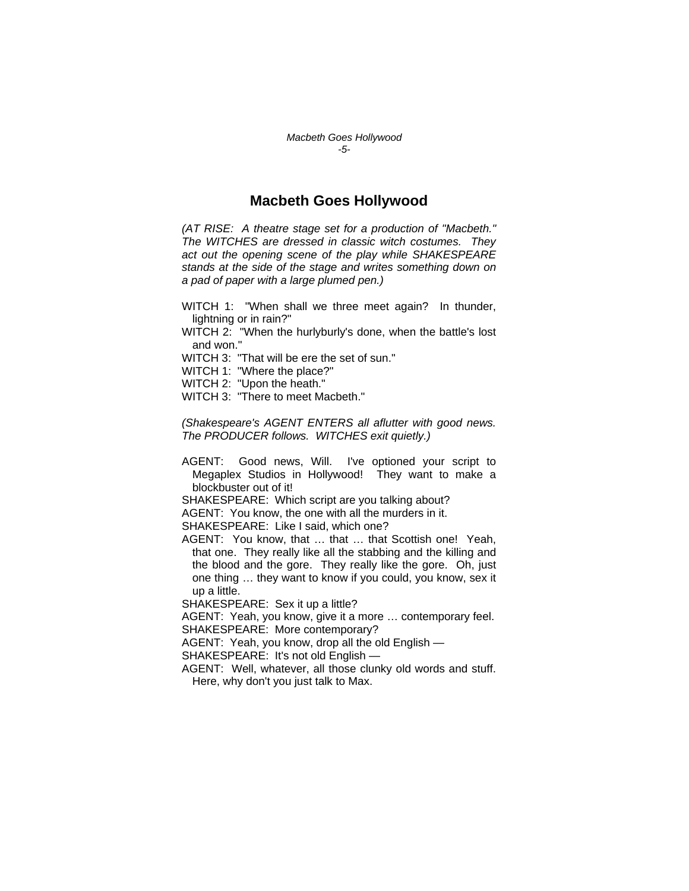## **Macbeth Goes Hollywood**

*(AT RISE: A theatre stage set for a production of "Macbeth." The WITCHES are dressed in classic witch costumes. They act out the opening scene of the play while SHAKESPEARE stands at the side of the stage and writes something down on a pad of paper with a large plumed pen.)* 

- WITCH 1: "When shall we three meet again? In thunder, lightning or in rain?"
- WITCH 2: "When the hurlyburly's done, when the battle's lost and won."
- WITCH 3: "That will be ere the set of sun."
- WITCH 1: "Where the place?"
- WITCH 2: "Upon the heath."
- WITCH 3: "There to meet Macbeth."

*(Shakespeare's AGENT ENTERS all aflutter with good news. The PRODUCER follows. WITCHES exit quietly.)* 

- AGENT: Good news, Will. I've optioned your script to Megaplex Studios in Hollywood! They want to make a blockbuster out of it!
- SHAKESPEARE: Which script are you talking about?
- AGENT: You know, the one with all the murders in it.
- SHAKESPEARE: Like I said, which one?
- AGENT: You know, that … that … that Scottish one! Yeah, that one. They really like all the stabbing and the killing and the blood and the gore. They really like the gore. Oh, just one thing … they want to know if you could, you know, sex it up a little.
- SHAKESPEARE: Sex it up a little?

AGENT: Yeah, you know, give it a more … contemporary feel. SHAKESPEARE: More contemporary?

AGENT: Yeah, you know, drop all the old English —

SHAKESPEARE: It's not old English —

AGENT: Well, whatever, all those clunky old words and stuff. Here, why don't you just talk to Max.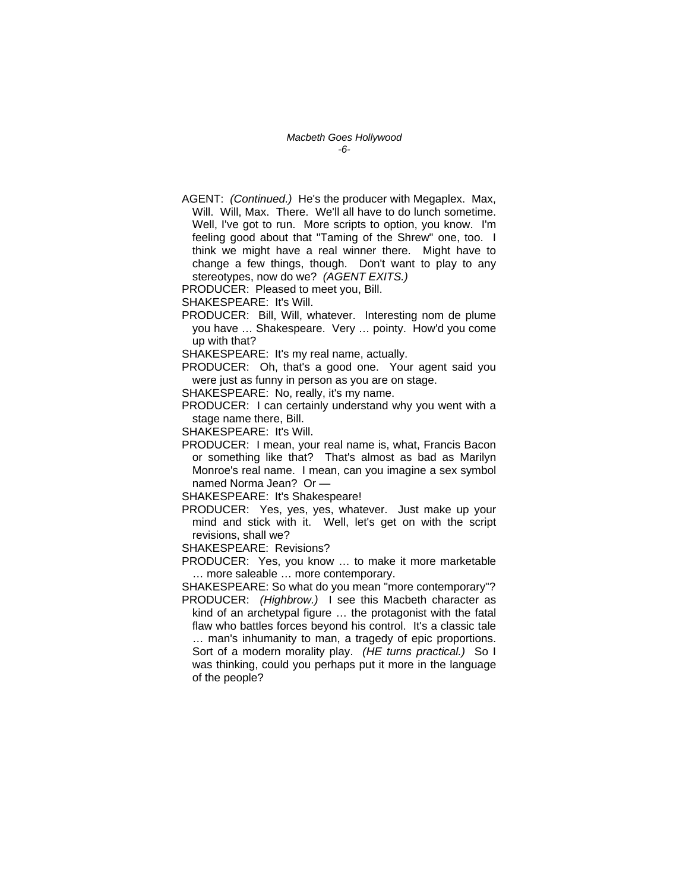*Macbeth Goes Hollywood -6-* 

AGENT: *(Continued.)* He's the producer with Megaplex. Max, Will. Will, Max. There. We'll all have to do lunch sometime. Well, I've got to run. More scripts to option, you know. I'm feeling good about that "Taming of the Shrew" one, too. I think we might have a real winner there. Might have to change a few things, though. Don't want to play to any stereotypes, now do we? *(AGENT EXITS.)* 

PRODUCER: Pleased to meet you, Bill.

SHAKESPEARE: It's Will.

- PRODUCER: Bill, Will, whatever. Interesting nom de plume you have … Shakespeare. Very … pointy. How'd you come up with that?
- SHAKESPEARE: It's my real name, actually.

PRODUCER: Oh, that's a good one. Your agent said you were just as funny in person as you are on stage.

SHAKESPEARE: No, really, it's my name.

PRODUCER: I can certainly understand why you went with a stage name there, Bill.

SHAKESPEARE: It's Will.

PRODUCER: I mean, your real name is, what, Francis Bacon or something like that? That's almost as bad as Marilyn Monroe's real name. I mean, can you imagine a sex symbol named Norma Jean? Or —

SHAKESPEARE: It's Shakespeare!

- PRODUCER: Yes, yes, yes, whatever. Just make up your mind and stick with it. Well, let's get on with the script revisions, shall we?
- SHAKESPEARE: Revisions?
- PRODUCER: Yes, you know … to make it more marketable … more saleable … more contemporary.

SHAKESPEARE: So what do you mean "more contemporary"? PRODUCER: *(Highbrow.)* I see this Macbeth character as kind of an archetypal figure … the protagonist with the fatal flaw who battles forces beyond his control. It's a classic tale … man's inhumanity to man, a tragedy of epic proportions. Sort of a modern morality play. *(HE turns practical.)* So I was thinking, could you perhaps put it more in the language of the people?